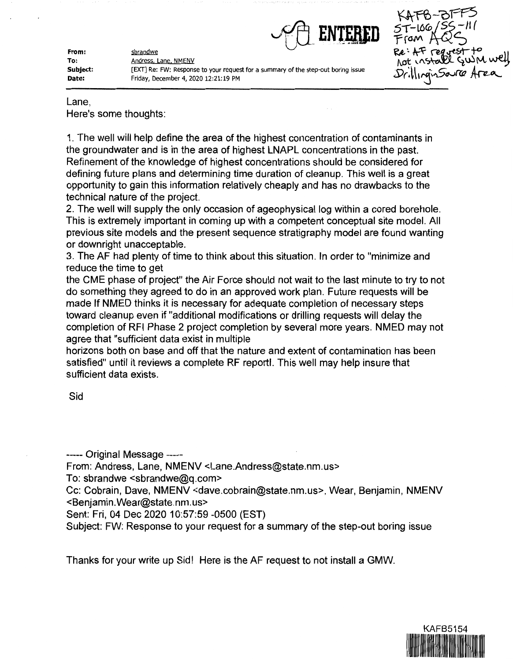

**From: To: Subject: Date:** 

Andress. Lane. NMENV [EXT] Re: FW: Response to your request for a summary of the step-out boring issue Friday, December 4, 2020 12:21:19 PM



Lane,

Here's some thoughts:

sbrandwe

1. The well will help define the area of the highest concentration of contaminants in the groundwater and is in the area of highest LNAPL concentrations in the past. Refinement of the knowledge of highest concentrations should be considered for defining future plans and determining time duration of cleanup. This well is a great opportunity to gain this information relatively cheaply and has no drawbacks to the technical nature of the project.

2. The well will supply the only occasion of ageophysical log within a cored borehole. This is extremely important in coming up with a competent conceptual site model. All previous site models and the present sequence stratigraphy model are found wanting or downright unacceptable.

3. The AF had plenty of time to think about this situation. In order to "minimize and reduce the time to get

the CME phase of project" the Air Force should not wait to the last minute to try to not do something they agreed to do in an approved work plan. Future requests will be made If NMED thinks it is necessary for adequate completion of necessary steps toward cleanup even if "additional modifications or drilling requests will delay the completion of RFI Phase 2 project completion by several more years. NMED may not agree that "sufficient data exist in multiple

horizons both on base and off that the nature and extent of contamination has been satisfied" until it reviews a complete RF reportl. This well may help insure that sufficient data exists.

Sid

----- Original Message-----

From: Andress, Lane, NMENV <Lane.Andress@state.nm.us>

To: sbrandwe <sbrandwe@q.com>

Cc: Cobrain, Dave, NMENV <dave.cobrain@state.nm.us>, Wear, Benjamin, NMENV <Benjamin.Wear@state.nm.us>

Sent: Fri, 04 Dec 2020 10:57:59 -0500 (EST)

Subject: FW: Response to your request for a summary of the step-out boring issue

Thanks for your write up Sid! Here is the AF request to not install a GMW.

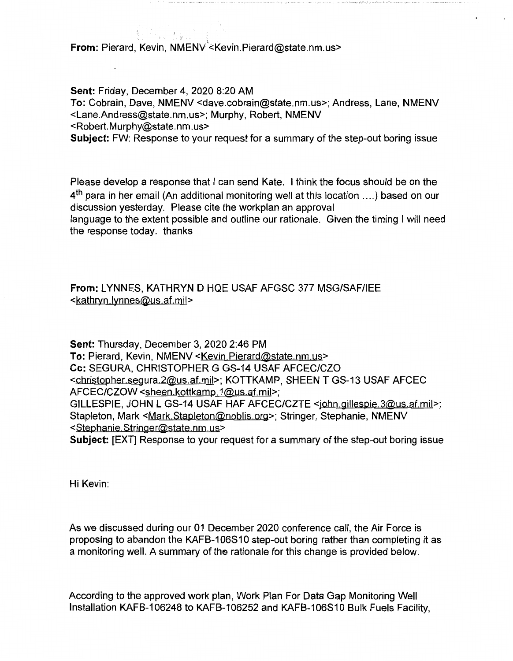**From: Pierard, Kevin, NMENV <Absoluterary Research Pierard @state.nm.us>** 

**Sent:** Friday, December 4, 2020 8:20 AM **To:** Cobrain, Dave, NMENV <dave.cobrain@state.nm.us>; Andress, Lane, NMENV <Lane.Andress@state.nm.us>; Murphy, Robert, NMENV <Robert.Murphy@state.nm.us> **Subject:** FW: Response to your request for a summary of the step-out boring issue

Please develop a response that I can send Kate. I think the focus should be on the  $4<sup>th</sup>$  para in her email (An additional monitoring well at this location ....) based on our discussion yesterday. Please cite the workplan an approval language to the extent possible and outline our rationale. Given the timing I will need the response today. thanks

**From:** LYNNES, KATHRYN D HQE USAF AFGSC 377 MSG/SAF/IEE <kathryn.lynnes@us.af.mil>

**Sent:** Thursday, December 3, 2020 2:46 PM **To:** Pierard, Kevin, NMENV <Kevin.Pierard@state.nm.us> Cc: SEGURA, CHRISTOPHER G GS-14 USAF AFCEC/CZO <christopher.segura.2@us.af.mil>; KOTTKAMP, SHEEN T GS-13 USAF AFCEC AFCEC/CZOW <sheen.kottkamp.1@us.af.mil>; GILLESPIE, JOHN L GS-14 USAF HAF AFCEC/CZTE <john.gillespie.3@us.af.mil>; Stapleton, Mark <Mark.Stapleton@noblis.org>; Stringer, Stephanie, NMENV <Stephanie. Stringer@state. nm. us>

**Subject:** [EXT] Response to your request for a summary of the step-out boring issue

Hi Kevin:

As we discussed during our 01 December 2020 conference call, the Air Force is proposing to abandon the KAFB-106S 10 step-out boring rather than completing it as a monitoring well. A summary of the rationale for this change is provided below.

According to the approved work plan, Work Plan For Data Gap Monitoring Well Installation KAFB-106248 to KAFB-106252 and KAFB-106S10 Bulk Fuels Facility,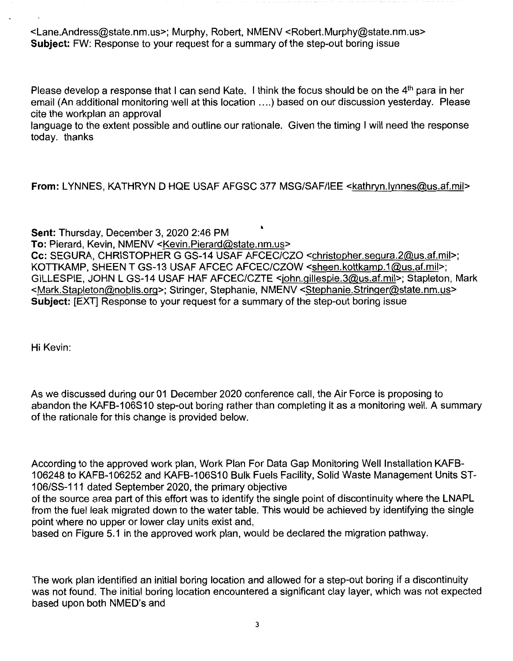<Lane.Andress@state.nm.us>; Murphy, Robert, NMENV <Robert.Murphy@state.nm.us> **Subject:** FW: Response to your request for a summary of the step-out boring issue

Please develop a response that I can send Kate. I think the focus should be on the 4<sup>th</sup> para in her email (An additional monitoring well at this location .... ) based on our discussion yesterday. Please cite the workplan an approval

language to the extent possible and outline our rationale. Given the timing I will need the response today. thanks

**From:** LYNNES, KATHRYN D HQE USAF AFGSC 377 MSG/SAF/IEE <kathryn.lynnes@us.af.mil>

**Sent:** Thursday, December 3, 2020 2:46 PM ' **To:** Pierard, Kevin, NMENV <Kevin.Pierard@state.nm.us> Cc: SEGURA, CHRISTOPHER G GS-14 USAF AFCEC/CZO <christopher.segura.2@us.af.mil>; KOTTKAMP, SHEEN T GS-13 USAF AFCEC AFCEC/CZOW <sheen.kottkamp.1@us.af.mil>; GILLESPIE, JOHN L GS-14 USAF HAF AFCEC/CZTE <john.gillespie.3@us.af.mil>; Stapleton, Mark <Mark.Stapleton@noblis.org>; Stringer, Stephanie, NMENV <Stephanie.Stringer@state.nm.us> **Subject:** [EXT] Response to your request for a summary of the step-out boring issue

Hi Kevin:

As we discussed during our 01 December 2020 conference call, the Air Force is proposing to abandon the KAFB-106S10 step-out boring rather than completing it as a monitoring well. A summary of the rationale for this change is provided below.

According to the approved work plan, Work Plan For Data Gap Monitoring Well Installation KAFB-106248 to KAFB-106252 and KAFB-106S10 Bulk Fuels Facility, Solid Waste Management Units ST-106/SS-111 dated September 2020, the primary objective

of the source area part of this effort was to identify the single point of discontinuity where the LNAPL from the fuel leak migrated down to the water table. This would be achieved by identifying the single point where no upper or lower clay units exist and,

based on Figure 5.1 in the approved work plan, would be declared the migration pathway.

The work plan identified an initial boring location and allowed for a step-out boring if a discontinuity was not found. The initial boring location encountered a significant clay layer, which was not expected based upon both NMED's and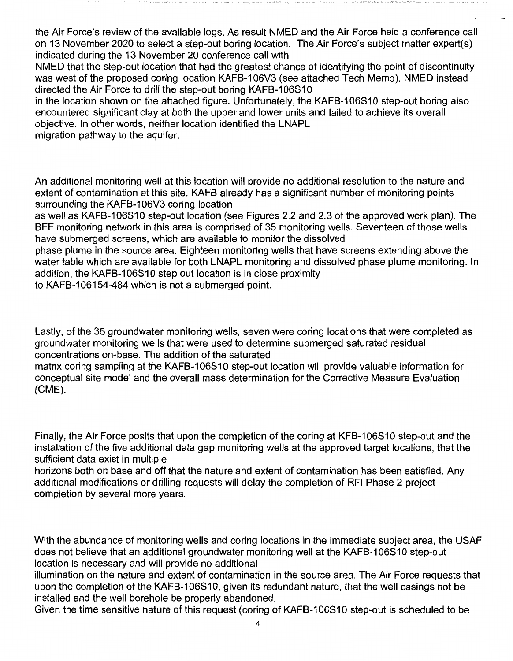the Air Force's review of the available logs. As result NMED and the Air Force held a conference call on 13 November 2020 to select a step-out boring location. The Air Force's subject matter expert(s) indicated during the 13 November 20 conference call with

NMED that the step-out location that had the greatest chance of identifying the point of discontinuity was west of the proposed coring location KAFB-106V3 (see attached Tech Memo). NMED instead directed the Air Force to drill the step-out boring KAFB-106S10

in the location shown on the attached figure. Unfortunately, the KAFB-106S10 step-out boring also encountered significant clay at both the upper and lower units and failed to achieve its overall objective. In other words, neither location identified the LNAPL

migration pathway to the aquifer.

An additional monitoring well at this location will provide no additional resolution to the nature and extent of contamination at this site. KAFB already has a significant number of monitoring points surrounding the KAFB-106V3 coring location

as well as KAFB-106S10 step-out location (see Figures 2.2 and 2.3 of the approved work plan). The BFF monitoring network in this area is comprised of 35 monitoring wells. Seventeen of those wells have submerged screens, which are available to monitor the dissolved

phase plume in the source area. Eighteen monitoring wells that have screens extending above the water table which are available for both LNAPL monitoring and dissolved phase plume monitoring. In addition, the KAFB-106S10 step out location is in close proximity

to KAFB-106154-484 which is not a submerged point.

Lastly, of the 35 groundwater monitoring wells, seven were coring locations that were completed as groundwater monitoring wells that were used to determine submerged saturated residual concentrations on-base. The addition of the saturated

matrix coring sampling at the KAFB-106S10 step-out location will provide valuable information for conceptual site model and the overall mass determination for the Corrective Measure Evaluation (CME).

Finally, the Air Force posits that upon the completion of the coring at KFB-106S10 step-out and the installation of the five additional data gap monitoring wells at the approved target locations, that the sufficient data exist in multiple

horizons both on base and off that the nature and extent of contamination has been satisfied. Any additional modifications or drilling requests will delay the completion of RFI Phase 2 project completion by several more years.

With the abundance of monitoring wells and coring locations in the immediate subject area, the USAF does not believe that an additional groundwater monitoring well at the KAFB-106S10 step-out location is necessary and will provide no additional

illumination on the nature and extent of contamination in the source area. The Air Force requests that upon the completion of the KAFB-106S10, given its redundant nature, that the well casings not be installed and the well borehole be properly abandoned.

Given the time sensitive nature of this request (coring of KAFB-106S10 step-out is scheduled to be